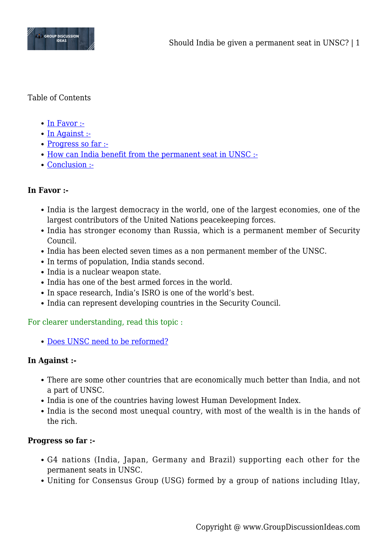

### Table of Contents

- $\bullet$  [In Favor :-](#page--1-0)
- [In Against :-](#page--1-0)
- [Progress so far :-](#page--1-0)
- [How can India benefit from the permanent seat in UNSC :-](#page--1-0)
- [Conclusion :-](#page--1-0)

## **In Favor :-**

- India is the largest democracy in the world, one of the largest economies, one of the largest contributors of the United Nations peacekeeping forces.
- India has stronger economy than Russia, which is a permanent member of Security Council.
- India has been elected seven times as a non permanent member of the UNSC.
- In terms of population, India stands second.
- India is a nuclear weapon state.
- India has one of the best armed forces in the world.
- In space research, India's ISRO is one of the world's best.
- India can represent developing countries in the Security Council.

For clearer understanding, read this topic :

[Does UNSC need to be reformed?](http://groupdiscussionideas.com/does-unsc-need-to-be-reformed/)

## **In Against :-**

- There are some other countries that are economically much better than India, and not a part of UNSC.
- India is one of the countries having lowest Human Development Index.
- India is the second most unequal country, with most of the wealth is in the hands of the rich.

## **Progress so far :-**

- G4 nations (India, Japan, Germany and Brazil) supporting each other for the permanent seats in UNSC.
- Uniting for Consensus Group (USG) formed by a group of nations including Itlay,